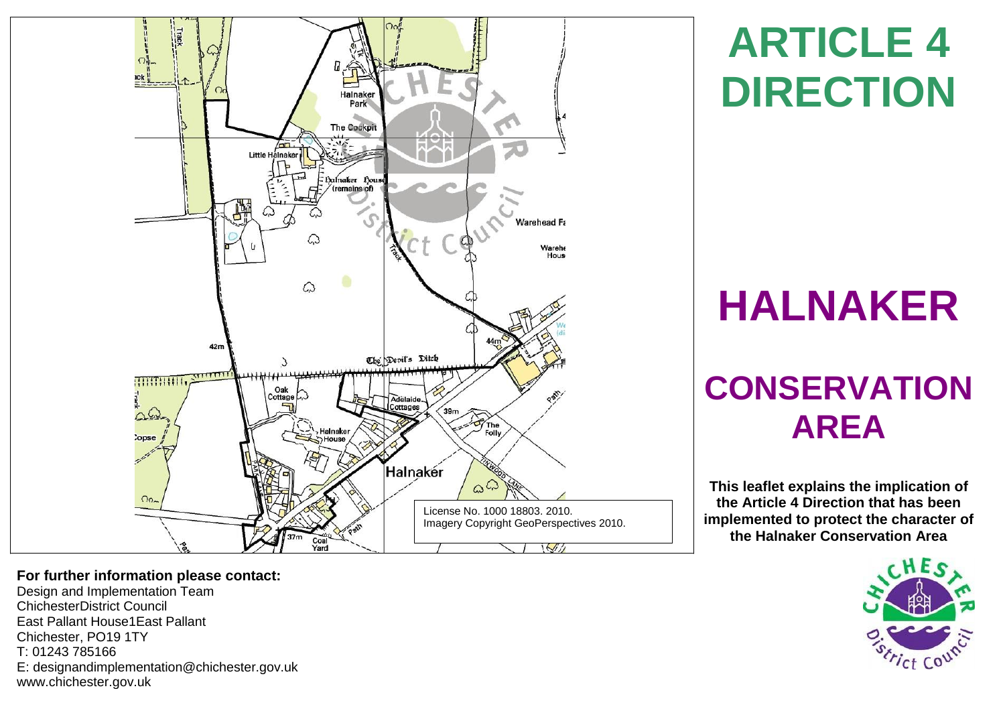

# **ARTICLE 4 DIRECTION**

# **HALNAKER**

# **CONSERVATION AREA**

**This leaflet explains the implication of the Article 4 Direction that has been implemented to protect the character of the Halnaker Conservation Area**



## **For further information please contact:**

Design and Implementation Team ChichesterDistrict Council East Pallant House1East Pallant Chichester, PO19 1TY T: 01243 785166 E: [designandimplementation@chichester.gov.uk](mailto:designandimplementation@chichester.gov.uk) [www.chichester.gov.uk](http://www.chichester.gov.uk/)